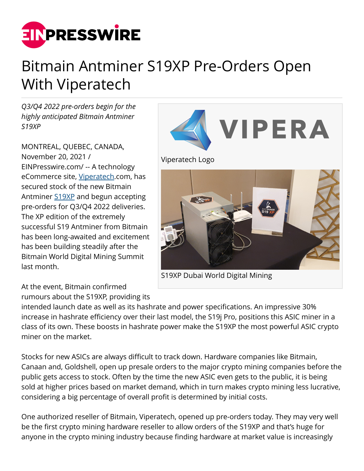

## Bitmain Antminer S19XP Pre-Orders Open With Viperatech

*Q3/Q4 2022 pre-orders begin for the highly anticipated Bitmain Antminer S19XP*

MONTREAL, QUEBEC, CANADA, November 20, 2021 / [EINPresswire.com](http://www.einpresswire.com)/ -- A technology eCommerce site, [Viperatech](https://www.viperatech.com/).com, has secured stock of the new Bitmain Antminer [S19XP](https://www.viperatech.com/product/bitmain-antminer-s19-xp-140th-s/) and begun accepting pre-orders for Q3/Q4 2022 deliveries. The XP edition of the extremely successful S19 Antminer from Bitmain has been long-awaited and excitement has been building steadily after the Bitmain World Digital Mining Summit last month.

At the event, Bitmain confirmed rumours about the S19XP, providing its **VIPERA** 

Viperatech Logo



S19XP Dubai World Digital Mining

intended launch date as well as its hashrate and power specifications. An impressive 30% increase in hashrate efficiency over their last model, the S19j Pro, positions this ASIC miner in a class of its own. These boosts in hashrate power make the S19XP the most powerful ASIC crypto miner on the market.

Stocks for new ASICs are always difficult to track down. Hardware companies like Bitmain, Canaan and, Goldshell, open up presale orders to the major crypto mining companies before the public gets access to stock. Often by the time the new ASIC even gets to the public, it is being sold at higher prices based on market demand, which in turn makes crypto mining less lucrative, considering a big percentage of overall profit is determined by initial costs.

One authorized reseller of Bitmain, Viperatech, opened up pre-orders today. They may very well be the first crypto mining hardware reseller to allow orders of the S19XP and that's huge for anyone in the crypto mining industry because finding hardware at market value is increasingly